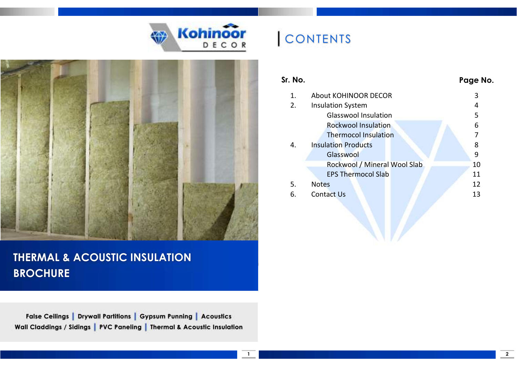



## THERMAL & ACOUSTIC INSULATION **BROCHURE**

False Ceilings | Drywall Partitions | Gypsum Punning | Acoustics Wall Claddings / Sidings | PVC Paneling | Thermal & Acoustic Insulation

# **CONTENTS**

| Sr. No. |                              | Page No. |
|---------|------------------------------|----------|
| 1.      | <b>About KOHINOOR DECOR</b>  | 3        |
| 2.      | <b>Insulation System</b>     | 4        |
|         | <b>Glasswool Insulation</b>  | 5        |
|         | <b>Rockwool Insulation</b>   | 6        |
|         | <b>Thermocol Insulation</b>  | 7        |
| 4.      | <b>Insulation Products</b>   | 8        |
|         | Glasswool                    | 9        |
|         | Rockwool / Mineral Wool Slab | 10       |
|         | <b>EPS Thermocol Slab</b>    | 11       |
| 5.      | <b>Notes</b>                 | 12       |
| 6.      | <b>Contact Us</b>            | 13       |
|         |                              |          |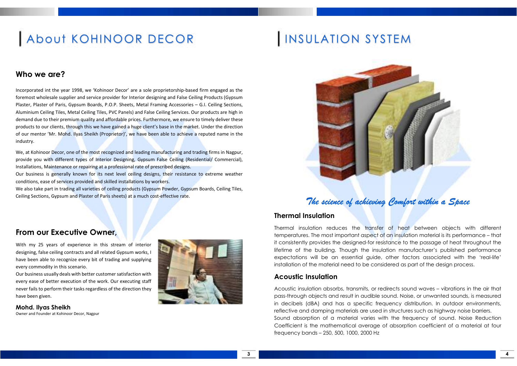# About KOHINOOR DECOR

### Who we are?

Incorporated int the year 1998, we 'Kohinoor Decor' are a sole proprietorship-based firm engaged as the foremost wholesale supplier and service provider for Interior designing and False Ceiling Products (Gypsum Plaster, Plaster of Paris, Gypsum Boards, P.O.P. Sheets, Metal Framing Accessories – G.I. Ceiling Sections, Aluminium Ceiling Tiles, Metal Ceiling Tiles, PVC Panels) and False Ceiling Services. Our products are high in demand due to their premium quality and affordable prices. Furthermore, we ensure to timely deliver these products to our clients, through this we have gained a huge client's base in the market. Under the direction of our mentor 'Mr. Mohd. Ilyas Sheikh (Proprietor)', we have been able to achieve a reputed name in the industry.

We, at Kohinoor Decor, one of the most recognized and leading manufacturing and trading firms in Nagpur, provide you with different types of Interior Designing, Gypsum False Ceiling (Residential/ Commercial), Installations, Maintenance or repairing at a professional rate of prescribed designs.

Our business is generally known for its next level ceiling designs, their resistance to extreme weather conditions, ease of services provided and skilled installations by workers.

We also take part in trading all varieties of ceiling products (Gypsum Powder, Gypsum Boards, Ceiling Tiles, Ceiling Sections, Gypsum and Plaster of Paris sheets) at a much cost-effective rate.

# INSULATION SYSTEM



### The science of achieving Comfort within a Space

### Thermal Insulation

Thermal insulation reduces the transfer of heat between objects with different temperatures. The most important aspect of an insulation material is its performance – that it consistently provides the designed-for resistance to the passage of heat throughout the lifetime of the building. Though the insulation manufacturer's published performance expectations will be an essential guide, other factors associated with the 'real-life' installation of the material need to be considered as part of the design process.

### Acoustic Insulation

3

Acoustic insulation absorbs, transmits, or redirects sound waves – vibrations in the air that pass-through objects and result in audible sound. Noise, or unwanted sounds, is measured in decibels (dBA) and has a specific frequency distribution. In outdoor environments, reflective and damping materials are used in structures such as highway noise barriers. Sound absorption of a material varies with the frequency of sound. Noise Reduction Coefficient is the mathematical average of absorption coefficient of a material at four frequency bands – 250, 500, 1000, 2000 Hz

### From our Executive Owner,

With my 25 years of experience in this stream of interior designing, false ceiling contracts and all related Gypsum works, I have been able to recognize every bit of trading and supplying every commodity in this scenario.

Our business usually deals with better customer satisfaction with every ease of better execution of the work. Our executing staff never fails to perform their tasks regardless of the direction they have been given.

Mohd. Ilyas Sheikh Owner and Founder at Kohinoor Decor, Nagpur

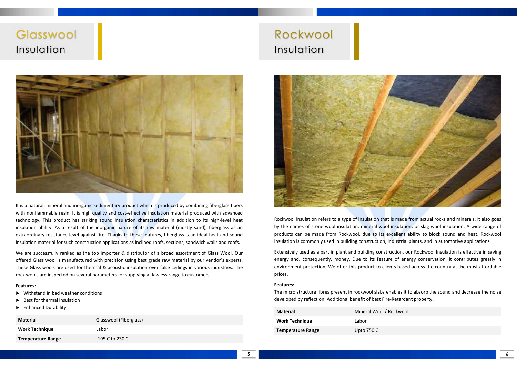## **Glasswool** Insulation



It is a natural, mineral and inorganic sedimentary product which is produced by combining fiberglass fibers with nonflammable resin. It is high quality and cost-effective insulation material produced with advanced technology. This product has striking sound insulation characteristics in addition to its high-level heat insulation ability. As a result of the inorganic nature of its raw material (mostly sand), fiberglass as an extraordinary resistance level against fire. Thanks to these features, fiberglass is an ideal heat and sound insulation material for such construction applications as inclined roofs, sections, sandwich walls and roofs.

We are successfully ranked as the top importer & distributor of a broad assortment of Glass Wool. Our offered Glass wool is manufactured with precision using best grade raw material by our vendor's experts. These Glass wools are used for thermal & acoustic insulation over false ceilings in various industries. The rock wools are inspected on several parameters for supplying a flawless range to customers.

#### Features:

- ► Withstand in bad weather conditions
- Best for thermal insulation
- ► Enhanced Durability

| <b>Material</b>          | Glasswool (Fiberglass) |
|--------------------------|------------------------|
| <b>Work Technique</b>    | Labor                  |
| <b>Temperature Range</b> | -195 C to 230 C        |

## Rockwool Insulation



Rockwool insulation refers to a type of insulation that is made from actual rocks and minerals. It also goes by the names of stone wool insulation, mineral wool insulation, or slag wool insulation. A wide range of products can be made from Rockwool, due to its excellent ability to block sound and heat. Rockwool insulation is commonly used in building construction, industrial plants, and in automotive applications.

Extensively used as a part in plant and building construction, our Rockwool Insulation is effective in saving energy and, consequently, money. Due to its feature of energy conservation, it contributes greatly in environment protection. We offer this product to clients based across the country at the most affordable prices.

#### Features:

The micro structure fibres present in rockwool slabs enables it to absorb the sound and decrease the noise developed by reflection. Additional benefit of best Fire-Retardant property.

| <b>Material</b>          | Mineral Wool / Rockwool |
|--------------------------|-------------------------|
| <b>Work Technique</b>    | Labor                   |
| <b>Temperature Range</b> | Upto 750 C              |

6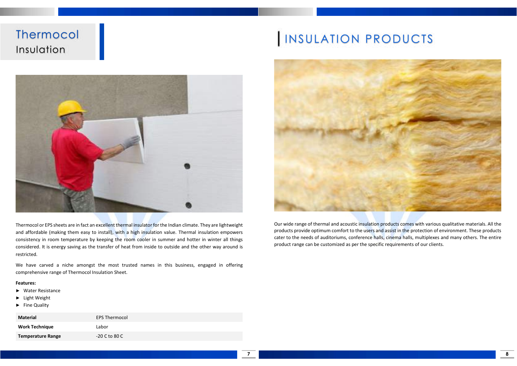## **Thermocol** Insulation



Thermocol or EPS sheets are in fact an excellent thermal insulator for the Indian climate. They are lightweight and affordable (making them easy to install), with a high insulation value. Thermal insulation empowers consistency in room temperature by keeping the room cooler in summer and hotter in winter all things considered. It is energy saving as the transfer of heat from inside to outside and the other way around is restricted.

We have carved a niche amongst the most trusted names in this business, engaged in offering comprehensive range of Thermocol Insulation Sheet.

#### Features:

- ► Water Resistance
- ► Light Weight
- ► Fine Quality

| Material                 | <b>EPS Thermocol</b> |
|--------------------------|----------------------|
| <b>Work Technique</b>    | Labor                |
| <b>Temperature Range</b> | $-20$ C to 80 C      |

# INSULATION PRODUCTS



Our wide range of thermal and acoustic insulation products comes with various qualitative materials. All the products provide optimum comfort to the users and assist in the protection of environment. These products cater to the needs of auditoriums, conference halls, cinema halls, multiplexes and many others. The entire product range can be customized as per the specific requirements of our clients.

8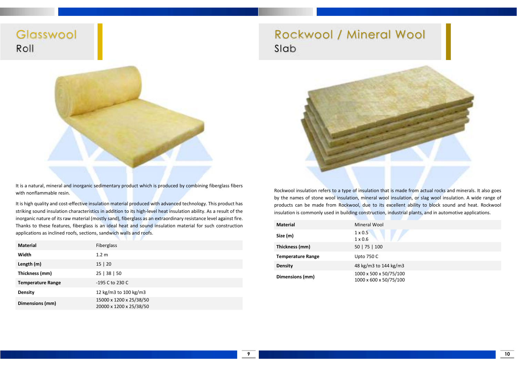Glasswool Roll



It is a natural, mineral and inorganic sedimentary product which is produced by combining fiberglass fibers with nonflammable resin.

It is high quality and cost-effective insulation material produced with advanced technology. This product has striking sound insulation characteristics in addition to its high-level heat insulation ability. As a result of the inorganic nature of its raw material (mostly sand), fiberglass as an extraordinary resistance level against fire. Thanks to these features, fiberglass is an ideal heat and sound insulation material for such construction applications as inclined roofs, sections, sandwich walls and roofs.

| <b>Material</b>          | Fiberglass                                         |
|--------------------------|----------------------------------------------------|
| Width                    | 1.2 <sub>m</sub>                                   |
| Length (m)               | 15 20                                              |
| Thickness (mm)           | 25   38   50                                       |
| <b>Temperature Range</b> | -195 C to 230 C                                    |
| Density                  | 12 kg/m3 to 100 kg/m3                              |
| Dimensions (mm)          | 15000 x 1200 x 25/38/50<br>20000 x 1200 x 25/38/50 |

## Rockwool / Mineral Wool Slab



Rockwool insulation refers to a type of insulation that is made from actual rocks and minerals. It also goes by the names of stone wool insulation, mineral wool insulation, or slag wool insulation. A wide range of products can be made from Rockwool, due to its excellent ability to block sound and heat. Rockwool insulation is commonly used in building construction, industrial plants, and in automotive applications.

| <b>Material</b>          | Mineral Wool                                     |
|--------------------------|--------------------------------------------------|
| Size (m)                 | $1 \times 0.5$<br>$1 \times 0.6$                 |
| Thickness (mm)           | 50   75   100                                    |
| <b>Temperature Range</b> | <b>Upto 750 C</b>                                |
| Density                  | 48 kg/m3 to 144 kg/m3                            |
| Dimensions (mm)          | 1000 x 500 x 50/75/100<br>1000 x 600 x 50/75/100 |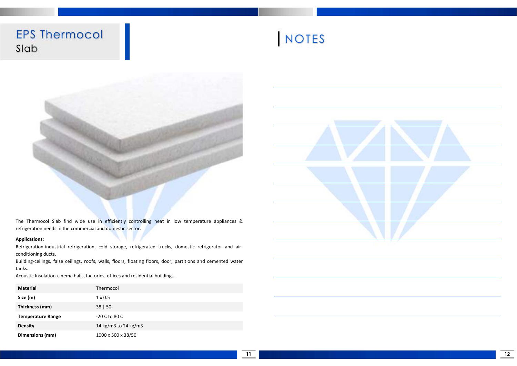EPS Thermocol Slab





The Thermocol Slab find wide use in efficiently controlling heat in low temperature appliances & refrigeration needs in the commercial and domestic sector.

#### Applications:

Refrigeration-industrial refrigeration, cold storage, refrigerated trucks, domestic refrigerator and airconditioning ducts.

Building-ceilings, false ceilings, roofs, walls, floors, floating floors, door, partitions and cemented water tanks.

Acoustic Insulation-cinema halls, factories, offices and residential buildings.

| <b>Material</b>          | Thermocol            |
|--------------------------|----------------------|
| Size (m)                 | $1 \times 0.5$       |
| Thickness (mm)           | 38   50              |
| <b>Temperature Range</b> | $-20$ C to 80 C      |
| Density                  | 14 kg/m3 to 24 kg/m3 |
| Dimensions (mm)          | 1000 x 500 x 38/50   |